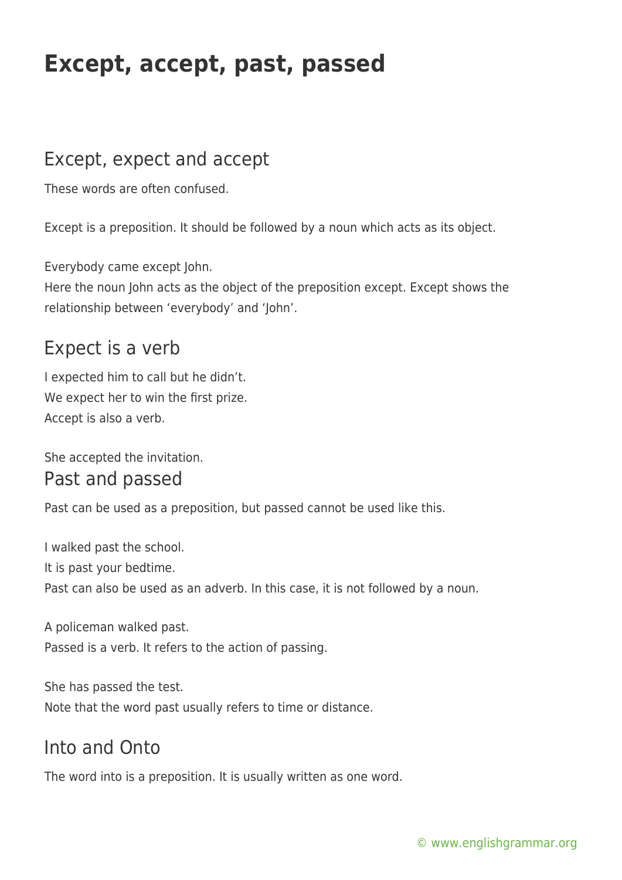## **Except, accept, past, passed**

## Except, expect and accept

These words are often confused.

Except is a preposition. It should be followed by a noun which acts as its object.

Everybody came except John.

Here the noun John acts as the object of the preposition except. Except shows the relationship between 'everybody' and 'John'.

### Expect is a verb

I expected him to call but he didn't. We expect her to win the first prize. Accept is also a verb.

She accepted the invitation.

#### Past and passed

Past can be used as a preposition, but passed cannot be used like this.

I walked past the school. It is past your bedtime. Past can also be used as an adverb. In this case, it is not followed by a noun.

A policeman walked past. Passed is a verb. It refers to the action of passing.

She has passed the test. Note that the word past usually refers to time or distance.

## Into and Onto

The word into is a preposition. It is usually written as one word.